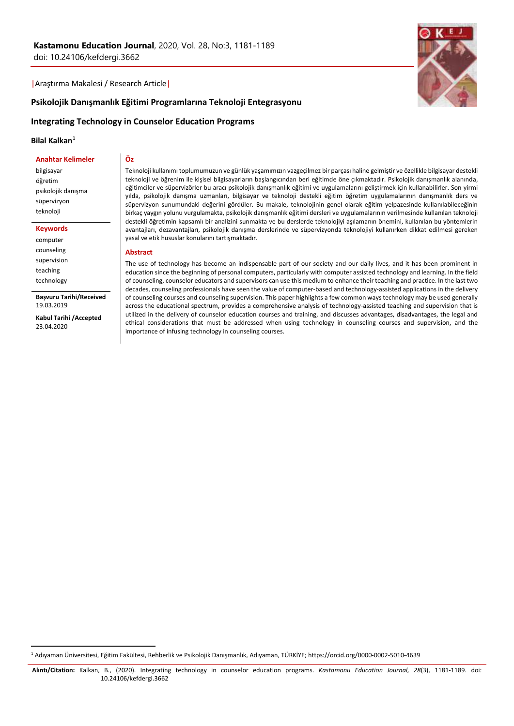|Araştırma Makalesi / Research Article|

# **Psikolojik Danışmanlık Eğitimi Programlarına Teknoloji Entegrasyonu**

# **Integrating Technology in Counselor Education Programs**

**Öz**

## **Bilal Kalkan**<sup>1</sup>

#### **Anahtar Kelimeler**

bilgisayar öğretim psikolojik danışma süpervizyon teknoloji

**Keywords**

computer counseling supervision teaching technology

**.** 

**Başvuru Tarihi/Received** 19.03.2019

**Kabul Tarihi /Accepted** 23.04.2020

Teknoloji kullanımı toplumumuzun ve günlük yaşamımızın vazgeçilmez bir parçası haline gelmiştir ve özellikle bilgisayar destekli teknoloji ve öğrenim ile kişisel bilgisayarların başlangıcından beri eğitimde öne çıkmaktadır. Psikolojik danışmanlık alanında, eğitimciler ve süpervizörler bu aracı psikolojik danışmanlık eğitimi ve uygulamalarını geliştirmek için kullanabilirler. Son yirmi yılda, psikolojik danışma uzmanları, bilgisayar ve teknoloji destekli eğitim öğretim uygulamalarının danışmanlık ders ve süpervizyon sunumundaki değerini gördüler. Bu makale, teknolojinin genel olarak eğitim yelpazesinde kullanılabileceğinin birkaç yaygın yolunu vurgulamakta, psikolojik danışmanlık eğitimi dersleri ve uygulamalarının verilmesinde kullanılan teknoloji destekli öğretimin kapsamlı bir analizini sunmakta ve bu derslerde teknolojiyi aşılamanın önemini, kullanılan bu yöntemlerin avantajları, dezavantajları, psikolojik danışma derslerinde ve süpervizyonda teknolojiyi kullanırken dikkat edilmesi gereken yasal ve etik hususlar konularını tartışmaktadır.

### **Abstract**

The use of technology has become an indispensable part of our society and our daily lives, and it has been prominent in education since the beginning of personal computers, particularly with computer assisted technology and learning. In the field of counseling, counselor educators and supervisors can use this medium to enhance their teaching and practice. In the last two decades, counseling professionals have seen the value of computer-based and technology-assisted applications in the delivery of counseling courses and counseling supervision. This paper highlights a few common ways technology may be used generally across the educational spectrum, provides a comprehensive analysis of technology-assisted teaching and supervision that is utilized in the delivery of counselor education courses and training, and discusses advantages, disadvantages, the legal and ethical considerations that must be addressed when using technology in counseling courses and supervision, and the importance of infusing technology in counseling courses.

<sup>1</sup> Adıyaman Üniversitesi, Eğitim Fakültesi, Rehberlik ve Psikolojik Danışmanlık, Adıyaman, TÜRKİYE; https://orcid.org/0000-0002-5010-4639

**Alıntı/Citation:** Kalkan, B., (2020). Integrating technology in counselor education programs. *Kastamonu Education Journal, 28*(3), 1181-1189. doi: 10.24106/kefdergi.3662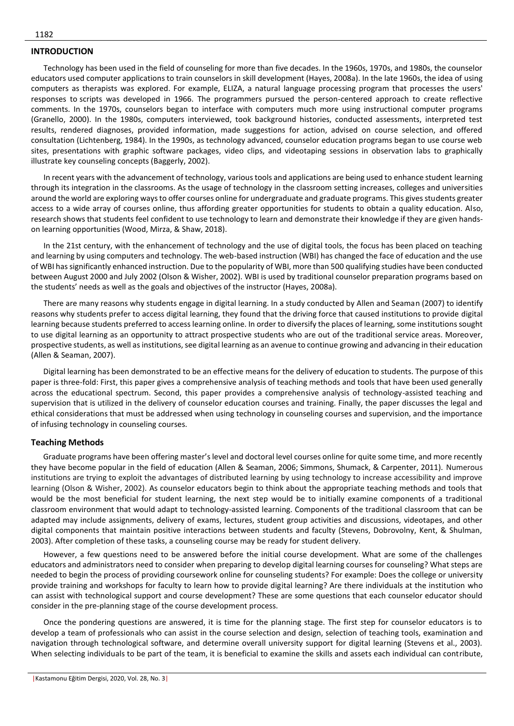## **INTRODUCTION**

Technology has been used in the field of counseling for more than five decades. In the 1960s, 1970s, and 1980s, the counselor educators used computer applications to train counselors in skill development (Hayes, 2008a). In the late 1960s, the idea of using computers as therapists was explored. For example, ELIZA, a natural language processing program that processes the users' responses to scripts was developed in 1966. The programmers pursued the person-centered approach to create reflective comments. In the 1970s, counselors began to interface with computers much more using instructional computer programs (Granello, 2000). In the 1980s, computers interviewed, took background histories, conducted assessments, interpreted test results, rendered diagnoses, provided information, made suggestions for action, advised on course selection, and offered consultation (Lichtenberg, 1984). In the 1990s, as technology advanced, counselor education programs began to use course web sites, presentations with graphic software packages, video clips, and videotaping sessions in observation labs to graphically illustrate key counseling concepts (Baggerly, 2002).

In recent years with the advancement of technology, various tools and applications are being used to enhance student learning through its integration in the classrooms. As the usage of technology in the classroom setting increases, colleges and universities around the world are exploring ways to offer courses online for undergraduate and graduate programs. This gives students greater access to a wide array of courses online, thus affording greater opportunities for students to obtain a quality education. Also, research shows that students feel confident to use technology to learn and demonstrate their knowledge if they are given handson learning opportunities (Wood, Mirza, & Shaw, 2018).

In the 21st century, with the enhancement of technology and the use of digital tools, the focus has been placed on teaching and learning by using computers and technology. The web-based instruction (WBI) has changed the face of education and the use of WBI has significantly enhanced instruction. Due to the popularity of WBI, more than 500 qualifying studies have been conducted between August 2000 and July 2002 (Olson & Wisher, 2002). WBI is used by traditional counselor preparation programs based on the students' needs as well as the goals and objectives of the instructor (Hayes, 2008a).

There are many reasons why students engage in digital learning. In a study conducted by Allen and Seaman (2007) to identify reasons why students prefer to access digital learning, they found that the driving force that caused institutions to provide digital learning because students preferred to access learning online. In order to diversify the places of learning, some institutions sought to use digital learning as an opportunity to attract prospective students who are out of the traditional service areas. Moreover, prospective students, as well as institutions, see digital learning as an avenue to continue growing and advancing in their education (Allen & Seaman, 2007).

Digital learning has been demonstrated to be an effective means for the delivery of education to students. The purpose of this paper is three-fold: First, this paper gives a comprehensive analysis of teaching methods and tools that have been used generally across the educational spectrum. Second, this paper provides a comprehensive analysis of technology-assisted teaching and supervision that is utilized in the delivery of counselor education courses and training. Finally, the paper discusses the legal and ethical considerations that must be addressed when using technology in counseling courses and supervision, and the importance of infusing technology in counseling courses.

#### **Teaching Methods**

Graduate programs have been offering master's level and doctoral level courses online for quite some time, and more recently they have become popular in the field of education (Allen & Seaman, 2006; Simmons, Shumack, & Carpenter, 2011). Numerous institutions are trying to exploit the advantages of distributed learning by using technology to increase accessibility and improve learning (Olson & Wisher, 2002). As counselor educators begin to think about the appropriate teaching methods and tools that would be the most beneficial for student learning, the next step would be to initially examine components of a traditional classroom environment that would adapt to technology-assisted learning. Components of the traditional classroom that can be adapted may include assignments, delivery of exams, lectures, student group activities and discussions, videotapes, and other digital components that maintain positive interactions between students and faculty (Stevens, Dobrovolny, Kent, & Shulman, 2003). After completion of these tasks, a counseling course may be ready for student delivery.

However, a few questions need to be answered before the initial course development. What are some of the challenges educators and administrators need to consider when preparing to develop digital learning courses for counseling? What steps are needed to begin the process of providing coursework online for counseling students? For example: Does the college or university provide training and workshops for faculty to learn how to provide digital learning? Are there individuals at the institution who can assist with technological support and course development? These are some questions that each counselor educator should consider in the pre-planning stage of the course development process.

Once the pondering questions are answered, it is time for the planning stage. The first step for counselor educators is to develop a team of professionals who can assist in the course selection and design, selection of teaching tools, examination and navigation through technological software, and determine overall university support for digital learning (Stevens et al., 2003). When selecting individuals to be part of the team, it is beneficial to examine the skills and assets each individual can contribute,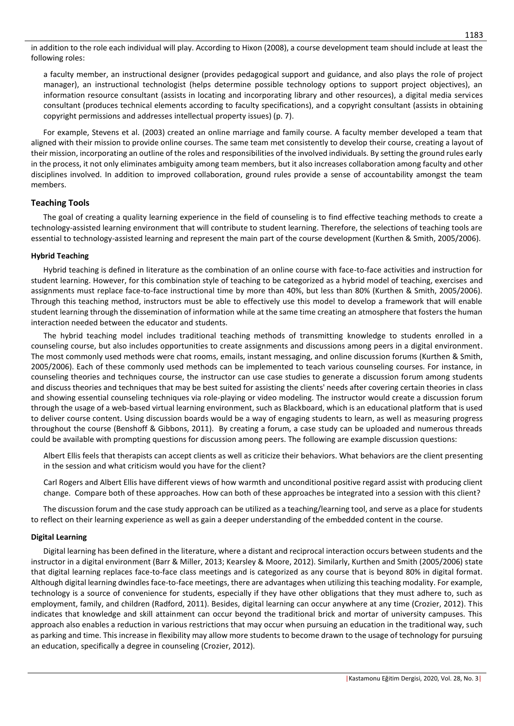in addition to the role each individual will play. According to Hixon (2008), a course development team should include at least the following roles:

a faculty member, an instructional designer (provides pedagogical support and guidance, and also plays the role of project manager), an instructional technologist (helps determine possible technology options to support project objectives), an information resource consultant (assists in locating and incorporating library and other resources), a digital media services consultant (produces technical elements according to faculty specifications), and a copyright consultant (assists in obtaining copyright permissions and addresses intellectual property issues) (p. 7).

For example, Stevens et al. (2003) created an online marriage and family course. A faculty member developed a team that aligned with their mission to provide online courses. The same team met consistently to develop their course, creating a layout of their mission, incorporating an outline of the roles and responsibilities of the involved individuals. By setting the ground rules early in the process, it not only eliminates ambiguity among team members, but it also increases collaboration among faculty and other disciplines involved. In addition to improved collaboration, ground rules provide a sense of accountability amongst the team members.

# **Teaching Tools**

The goal of creating a quality learning experience in the field of counseling is to find effective teaching methods to create a technology-assisted learning environment that will contribute to student learning. Therefore, the selections of teaching tools are essential to technology-assisted learning and represent the main part of the course development (Kurthen & Smith, 2005/2006).

# **Hybrid Teaching**

Hybrid teaching is defined in literature as the combination of an online course with face-to-face activities and instruction for student learning. However, for this combination style of teaching to be categorized as a hybrid model of teaching, exercises and assignments must replace face-to-face instructional time by more than 40%, but less than 80% (Kurthen & Smith, 2005/2006). Through this teaching method, instructors must be able to effectively use this model to develop a framework that will enable student learning through the dissemination of information while at the same time creating an atmosphere that fosters the human interaction needed between the educator and students.

The hybrid teaching model includes traditional teaching methods of transmitting knowledge to students enrolled in a counseling course, but also includes opportunities to create assignments and discussions among peers in a digital environment. The most commonly used methods were chat rooms, emails, instant messaging, and online discussion forums (Kurthen & Smith, 2005/2006). Each of these commonly used methods can be implemented to teach various counseling courses. For instance, in counseling theories and techniques course, the instructor can use case studies to generate a discussion forum among students and discuss theories and techniques that may be best suited for assisting the clients' needs after covering certain theories in class and showing essential counseling techniques via role-playing or video modeling. The instructor would create a discussion forum through the usage of a web-based virtual learning environment, such as Blackboard, which is an educational platform that is used to deliver course content. Using discussion boards would be a way of engaging students to learn, as well as measuring progress throughout the course (Benshoff & Gibbons, 2011). By creating a forum, a case study can be uploaded and numerous threads could be available with prompting questions for discussion among peers. The following are example discussion questions:

Albert Ellis feels that therapists can accept clients as well as criticize their behaviors. What behaviors are the client presenting in the session and what criticism would you have for the client?

Carl Rogers and Albert Ellis have different views of how warmth and unconditional positive regard assist with producing client change. Compare both of these approaches. How can both of these approaches be integrated into a session with this client?

The discussion forum and the case study approach can be utilized as a teaching/learning tool, and serve as a place for students to reflect on their learning experience as well as gain a deeper understanding of the embedded content in the course.

# **Digital Learning**

Digital learning has been defined in the literature, where a distant and reciprocal interaction occurs between students and the instructor in a digital environment (Barr & Miller, 2013; Kearsley & Moore, 2012). Similarly, Kurthen and Smith (2005/2006) state that digital learning replaces face-to-face class meetings and is categorized as any course that is beyond 80% in digital format. Although digital learning dwindles face-to-face meetings, there are advantages when utilizing this teaching modality. For example, technology is a source of convenience for students, especially if they have other obligations that they must adhere to, such as employment, family, and children (Radford, 2011). Besides, digital learning can occur anywhere at any time (Crozier, 2012). This indicates that knowledge and skill attainment can occur beyond the traditional brick and mortar of university campuses. This approach also enables a reduction in various restrictions that may occur when pursuing an education in the traditional way, such as parking and time. This increase in flexibility may allow more students to become drawn to the usage of technology for pursuing an education, specifically a degree in counseling (Crozier, 2012).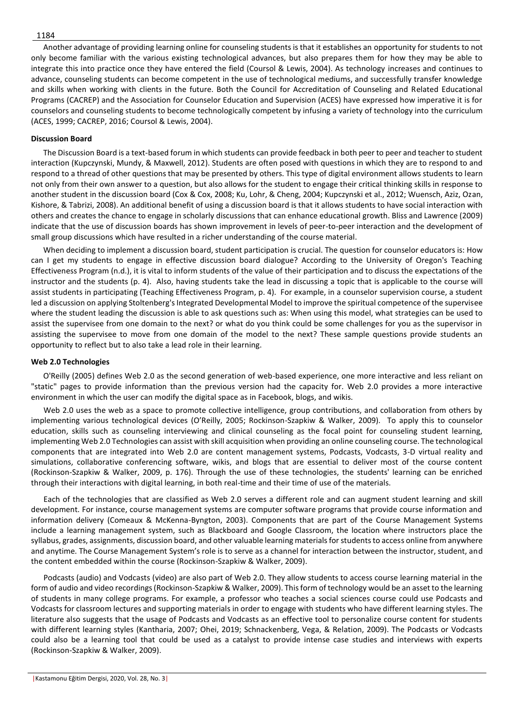#### 1184

Another advantage of providing learning online for counseling students is that it establishes an opportunity for students to not only become familiar with the various existing technological advances, but also prepares them for how they may be able to integrate this into practice once they have entered the field (Coursol & Lewis, 2004). As technology increases and continues to advance, counseling students can become competent in the use of technological mediums, and successfully transfer knowledge and skills when working with clients in the future. Both the Council for Accreditation of Counseling and Related Educational Programs (CACREP) and the Association for Counselor Education and Supervision (ACES) have expressed how imperative it is for counselors and counseling students to become technologically competent by infusing a variety of technology into the curriculum (ACES, 1999; CACREP, 2016; Coursol & Lewis, 2004).

## **Discussion Board**

The Discussion Board is a text-based forum in which students can provide feedback in both peer to peer and teacher to student interaction (Kupczynski, Mundy, & Maxwell, 2012). Students are often posed with questions in which they are to respond to and respond to a thread of other questions that may be presented by others. This type of digital environment allows students to learn not only from their own answer to a question, but also allows for the student to engage their critical thinking skills in response to another student in the discussion board (Cox & Cox, 2008; Ku, Lohr, & Cheng, 2004; Kupczynski et al., 2012; Wuensch, Aziz, Ozan, Kishore, & Tabrizi, 2008). An additional benefit of using a discussion board is that it allows students to have social interaction with others and creates the chance to engage in scholarly discussions that can enhance educational growth. Bliss and Lawrence (2009) indicate that the use of discussion boards has shown improvement in levels of peer-to-peer interaction and the development of small group discussions which have resulted in a richer understanding of the course material.

When deciding to implement a discussion board, student participation is crucial. The question for counselor educators is: How can I get my students to engage in effective discussion board dialogue? According to the University of Oregon's Teaching Effectiveness Program (n.d.), it is vital to inform students of the value of their participation and to discuss the expectations of the instructor and the students (p. 4). Also, having students take the lead in discussing a topic that is applicable to the course will assist students in participating (Teaching Effectiveness Program, p. 4). For example, in a counselor supervision course, a student led a discussion on applying Stoltenberg's Integrated Developmental Model to improve the spiritual competence of the supervisee where the student leading the discussion is able to ask questions such as: When using this model, what strategies can be used to assist the supervisee from one domain to the next? or what do you think could be some challenges for you as the supervisor in assisting the supervisee to move from one domain of the model to the next? These sample questions provide students an opportunity to reflect but to also take a lead role in their learning.

## **Web 2.0 Technologies**

O'Reilly (2005) defines Web 2.0 as the second generation of web-based experience, one more interactive and less reliant on "static" pages to provide information than the previous version had the capacity for. Web 2.0 provides a more interactive environment in which the user can modify the digital space as in Facebook, blogs, and wikis.

Web 2.0 uses the web as a space to promote collective intelligence, group contributions, and collaboration from others by implementing various technological devices (O'Reilly, 2005; Rockinson-Szapkiw & Walker, 2009). To apply this to counselor education, skills such as counseling interviewing and clinical counseling as the focal point for counseling student learning, implementing Web 2.0 Technologies can assist with skill acquisition when providing an online counseling course. The technological components that are integrated into Web 2.0 are content management systems, Podcasts, Vodcasts, 3-D virtual reality and simulations, collaborative conferencing software, wikis, and blogs that are essential to deliver most of the course content (Rockinson-Szapkiw & Walker, 2009, p. 176). Through the use of these technologies, the students' learning can be enriched through their interactions with digital learning, in both real-time and their time of use of the materials.

Each of the technologies that are classified as Web 2.0 serves a different role and can augment student learning and skill development. For instance, course management systems are computer software programs that provide course information and information delivery (Comeaux & McKenna-Byngton, 2003). Components that are part of the Course Management Systems include a learning management system, such as Blackboard and Google Classroom, the location where instructors place the syllabus, grades, assignments, discussion board, and other valuable learning materials for students to access online from anywhere and anytime. The Course Management System's role is to serve as a channel for interaction between the instructor, student, and the content embedded within the course (Rockinson-Szapkiw & Walker, 2009).

Podcasts (audio) and Vodcasts (video) are also part of Web 2.0. They allow students to access course learning material in the form of audio and video recordings (Rockinson-Szapkiw & Walker, 2009). This form of technology would be an asset to the learning of students in many college programs. For example, a professor who teaches a social sciences course could use Podcasts and Vodcasts for classroom lectures and supporting materials in order to engage with students who have different learning styles. The literature also suggests that the usage of Podcasts and Vodcasts as an effective tool to personalize course content for students with different learning styles (Kantharia, 2007; Ohei, 2019; Schnackenberg, Vega, & Relation, 2009). The Podcasts or Vodcasts could also be a learning tool that could be used as a catalyst to provide intense case studies and interviews with experts (Rockinson-Szapkiw & Walker, 2009).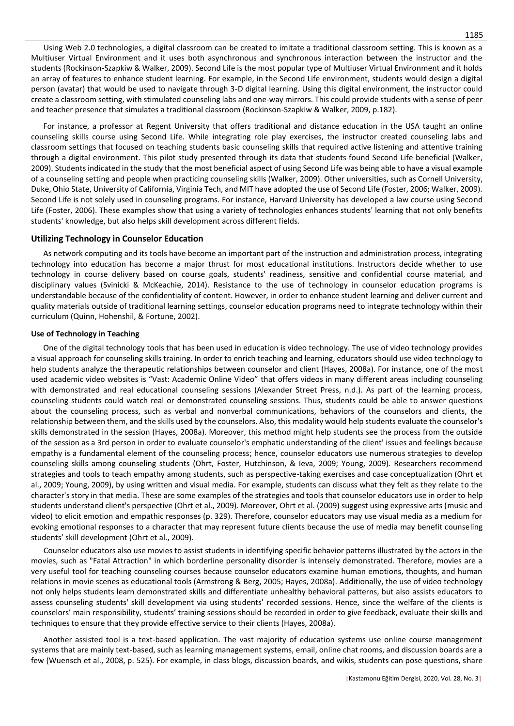Using Web 2.0 technologies, a digital classroom can be created to imitate a traditional classroom setting. This is known as a Multiuser Virtual Environment and it uses both asynchronous and synchronous interaction between the instructor and the students (Rockinson-Szapkiw & Walker, 2009). Second Life is the most popular type of Multiuser Virtual Environment and it holds an array of features to enhance student learning. For example, in the Second Life environment, students would design a digital person (avatar) that would be used to navigate through 3-D digital learning. Using this digital environment, the instructor could create a classroom setting, with stimulated counseling labs and one-way mirrors. This could provide students with a sense of peer and teacher presence that simulates a traditional classroom (Rockinson-Szapkiw & Walker, 2009, p.182).

For instance, a professor at Regent University that offers traditional and distance education in the USA taught an online counseling skills course using Second Life. While integrating role play exercises, the instructor created counseling labs and classroom settings that focused on teaching students basic counseling skills that required active listening and attentive training through a digital environment. This pilot study presented through its data that students found Second Life beneficial (Walker, 2009). Students indicated in the study that the most beneficial aspect of using Second Life was being able to have a visual example of a counseling setting and people when practicing counseling skills (Walker, 2009). Other universities, such as Cornell University, Duke, Ohio State, University of California, Virginia Tech, and MIT have adopted the use of Second Life (Foster, 2006; Walker, 2009). Second Life is not solely used in counseling programs. For instance, Harvard University has developed a law course using Second Life (Foster, 2006). These examples show that using a variety of technologies enhances students' learning that not only benefits students' knowledge, but also helps skill development across different fields.

## **Utilizing Technology in Counselor Education**

As network computing and its tools have become an important part of the instruction and administration process, integrating technology into education has become a major thrust for most educational institutions. Instructors decide whether to use technology in course delivery based on course goals, students' readiness, sensitive and confidential course material, and disciplinary values (Svinicki & McKeachie, 2014). Resistance to the use of technology in counselor education programs is understandable because of the confidentiality of content. However, in order to enhance student learning and deliver current and quality materials outside of traditional learning settings, counselor education programs need to integrate technology within their curriculum (Quinn, Hohenshil, & Fortune, 2002).

## **Use of Technology in Teaching**

One of the digital technology tools that has been used in education is video technology. The use of video technology provides a visual approach for counseling skills training. In order to enrich teaching and learning, educators should use video technology to help students analyze the therapeutic relationships between counselor and client (Hayes, 2008a). For instance, one of the most used academic video websites is "Vast: Academic Online Video" that offers videos in many different areas including counseling with demonstrated and real educational counseling sessions (Alexander Street Press, n.d.). As part of the learning process, counseling students could watch real or demonstrated counseling sessions. Thus, students could be able to answer questions about the counseling process, such as verbal and nonverbal communications, behaviors of the counselors and clients, the relationship between them, and the skills used by the counselors. Also, this modality would help students evaluate the counselor's skills demonstrated in the session (Hayes, 2008a). Moreover, this method might help students see the process from the outside of the session as a 3rd person in order to evaluate counselor's emphatic understanding of the client' issues and feelings because empathy is a fundamental element of the counseling process; hence, counselor educators use numerous strategies to develop counseling skills among counseling students (Ohrt, Foster, Hutchinson, & Ieva, 2009; Young, 2009). Researchers recommend strategies and tools to teach empathy among students, such as perspective-taking exercises and case conceptualization (Ohrt et al., 2009; Young, 2009), by using written and visual media. For example, students can discuss what they felt as they relate to the character's story in that media. These are some examples of the strategies and tools that counselor educators use in order to help students understand client's perspective (Ohrt et al., 2009). Moreover, Ohrt et al. (2009) suggest using expressive arts (music and video) to elicit emotion and empathic responses (p. 329). Therefore, counselor educators may use visual media as a medium for evoking emotional responses to a character that may represent future clients because the use of media may benefit counseling students' skill development (Ohrt et al., 2009).

Counselor educators also use movies to assist students in identifying specific behavior patterns illustrated by the actors in the movies, such as "Fatal Attraction" in which borderline personality disorder is intensely demonstrated. Therefore, movies are a very useful tool for teaching counseling courses because counselor educators examine human emotions, thoughts, and human relations in movie scenes as educational tools (Armstrong & Berg, 2005; Hayes, 2008a). Additionally, the use of video technology not only helps students learn demonstrated skills and differentiate unhealthy behavioral patterns, but also assists educators to assess counseling students' skill development via using students' recorded sessions. Hence, since the welfare of the clients is counselors' main responsibility, students' training sessions should be recorded in order to give feedback, evaluate their skills and techniques to ensure that they provide effective service to their clients (Hayes, 2008a).

Another assisted tool is a text-based application. The vast majority of education systems use online course management systems that are mainly text-based, such as learning management systems, email, online chat rooms, and discussion boards are a few (Wuensch et al., 2008, p. 525). For example, in class blogs, discussion boards, and wikis, students can pose questions, share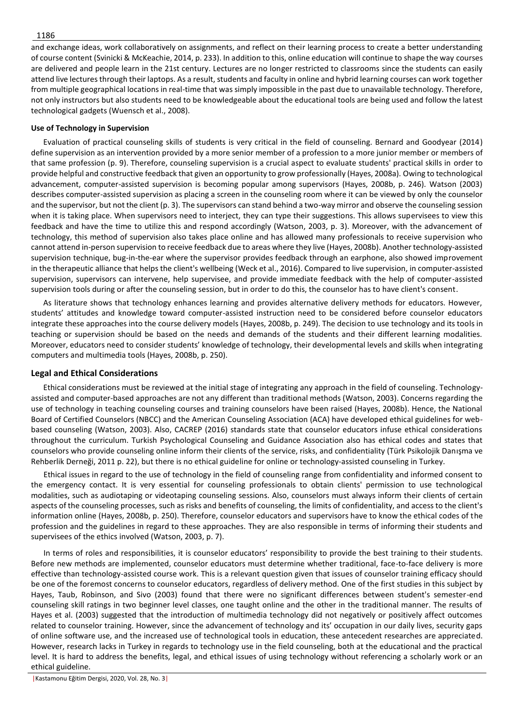and exchange ideas, work collaboratively on assignments, and reflect on their learning process to create a better understanding of course content (Svinicki & McKeachie, 2014, p. 233). In addition to this, online education will continue to shape the way courses are delivered and people learn in the 21st century. Lectures are no longer restricted to classrooms since the students can easily attend live lectures through their laptops. As a result, students and faculty in online and hybrid learning courses can work together from multiple geographical locations in real-time that was simply impossible in the past due to unavailable technology. Therefore, not only instructors but also students need to be knowledgeable about the educational tools are being used and follow the latest technological gadgets (Wuensch et al., 2008).

## **Use of Technology in Supervision**

Evaluation of practical counseling skills of students is very critical in the field of counseling. Bernard and Goodyear (2014) define supervision as an intervention provided by a more senior member of a profession to a more junior member or members of that same profession (p. 9). Therefore, counseling supervision is a crucial aspect to evaluate students' practical skills in order to provide helpful and constructive feedback that given an opportunity to grow professionally (Hayes, 2008a). Owing to technological advancement, computer-assisted supervision is becoming popular among supervisors (Hayes, 2008b, p. 246). Watson (2003) describes computer-assisted supervision as placing a screen in the counseling room where it can be viewed by only the counselor and the supervisor, but not the client (p. 3). The supervisors can stand behind a two-way mirror and observe the counseling session when it is taking place. When supervisors need to interject, they can type their suggestions. This allows supervisees to view this feedback and have the time to utilize this and respond accordingly (Watson, 2003, p. 3). Moreover, with the advancement of technology, this method of supervision also takes place online and has allowed many professionals to receive supervision who cannot attend in-person supervision to receive feedback due to areas where they live (Hayes, 2008b). Another technology-assisted supervision technique, bug-in-the-ear where the supervisor provides feedback through an earphone, also showed improvement in the therapeutic alliance that helps the client's wellbeing (Weck et al., 2016). Compared to live supervision, in computer-assisted supervision, supervisors can intervene, help supervisee, and provide immediate feedback with the help of computer-assisted supervision tools during or after the counseling session, but in order to do this, the counselor has to have client's consent.

As literature shows that technology enhances learning and provides alternative delivery methods for educators. However, students' attitudes and knowledge toward computer-assisted instruction need to be considered before counselor educators integrate these approaches into the course delivery models (Hayes, 2008b, p. 249). The decision to use technology and its tools in teaching or supervision should be based on the needs and demands of the students and their different learning modalities. Moreover, educators need to consider students' knowledge of technology, their developmental levels and skills when integrating computers and multimedia tools (Hayes, 2008b, p. 250).

# **Legal and Ethical Considerations**

Ethical considerations must be reviewed at the initial stage of integrating any approach in the field of counseling. Technologyassisted and computer-based approaches are not any different than traditional methods (Watson, 2003). Concerns regarding the use of technology in teaching counseling courses and training counselors have been raised (Hayes, 2008b). Hence, the National Board of Certified Counselors (NBCC) and the American Counseling Association (ACA) have developed ethical guidelines for webbased counseling (Watson, 2003). Also, CACREP (2016) standards state that counselor educators infuse ethical considerations throughout the curriculum. Turkish Psychological Counseling and Guidance Association also has ethical codes and states that counselors who provide counseling online inform their clients of the service, risks, and confidentiality (Türk Psikolojik Danışma ve Rehberlik Derneği, 2011 p. 22), but there is no ethical guideline for online or technology-assisted counseling in Turkey.

Ethical issues in regard to the use of technology in the field of counseling range from confidentiality and informed consent to the emergency contact. It is very essential for counseling professionals to obtain clients' permission to use technological modalities, such as audiotaping or videotaping counseling sessions. Also, counselors must always inform their clients of certain aspects of the counseling processes, such as risks and benefits of counseling, the limits of confidentiality, and access to the client's information online (Hayes, 2008b, p. 250). Therefore, counselor educators and supervisors have to know the ethical codes of the profession and the guidelines in regard to these approaches. They are also responsible in terms of informing their students and supervisees of the ethics involved (Watson, 2003, p. 7).

In terms of roles and responsibilities, it is counselor educators' responsibility to provide the best training to their students. Before new methods are implemented, counselor educators must determine whether traditional, face-to-face delivery is more effective than technology-assisted course work. This is a relevant question given that issues of counselor training efficacy should be one of the foremost concerns to counselor educators, regardless of delivery method. One of the first studies in this subject by Hayes, Taub, Robinson, and Sivo (2003) found that there were no significant differences between student's semester-end counseling skill ratings in two beginner level classes, one taught online and the other in the traditional manner. The results of Hayes et al. (2003) suggested that the introduction of multimedia technology did not negatively or positively affect outcomes related to counselor training. However, since the advancement of technology and its' occupation in our daily lives, security gaps of online software use, and the increased use of technological tools in education, these antecedent researches are appreciated. However, research lacks in Turkey in regards to technology use in the field counseling, both at the educational and the practical level. It is hard to address the benefits, legal, and ethical issues of using technology without referencing a scholarly work or an ethical guideline.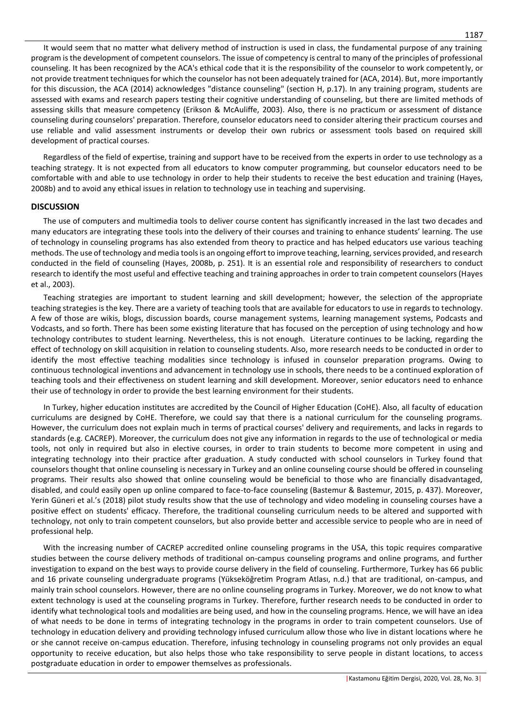It would seem that no matter what delivery method of instruction is used in class, the fundamental purpose of any training program is the development of competent counselors. The issue of competency is central to many of the principles of professional counseling. It has been recognized by the ACA's ethical code that it is the responsibility of the counselor to work competently, or not provide treatment techniques for which the counselor has not been adequately trained for (ACA, 2014). But, more importantly for this discussion, the ACA (2014) acknowledges "distance counseling" (section H, p.17). In any training program, students are assessed with exams and research papers testing their cognitive understanding of counseling, but there are limited methods of assessing skills that measure competency (Erikson & McAuliffe, 2003). Also, there is no practicum or assessment of distance counseling during counselors' preparation. Therefore, counselor educators need to consider altering their practicum courses and use reliable and valid assessment instruments or develop their own rubrics or assessment tools based on required skill development of practical courses.

Regardless of the field of expertise, training and support have to be received from the experts in order to use technology as a teaching strategy. It is not expected from all educators to know computer programming, but counselor educators need to be comfortable with and able to use technology in order to help their students to receive the best education and training (Hayes, 2008b) and to avoid any ethical issues in relation to technology use in teaching and supervising.

# **DISCUSSION**

The use of computers and multimedia tools to deliver course content has significantly increased in the last two decades and many educators are integrating these tools into the delivery of their courses and training to enhance students' learning. The use of technology in counseling programs has also extended from theory to practice and has helped educators use various teaching methods. The use of technology and media tools is an ongoing effort to improve teaching, learning, services provided, and research conducted in the field of counseling (Hayes, 2008b, p. 251). It is an essential role and responsibility of researchers to conduct research to identify the most useful and effective teaching and training approaches in order to train competent counselors (Hayes et al., 2003).

Teaching strategies are important to student learning and skill development; however, the selection of the appropriate teaching strategies is the key. There are a variety of teaching tools that are available for educators to use in regards to technology. A few of those are wikis, blogs, discussion boards, course management systems, learning management systems, Podcasts and Vodcasts, and so forth. There has been some existing literature that has focused on the perception of using technology and how technology contributes to student learning. Nevertheless, this is not enough. Literature continues to be lacking, regarding the effect of technology on skill acquisition in relation to counseling students. Also, more research needs to be conducted in order to identify the most effective teaching modalities since technology is infused in counselor preparation programs. Owing to continuous technological inventions and advancement in technology use in schools, there needs to be a continued exploration of teaching tools and their effectiveness on student learning and skill development. Moreover, senior educators need to enhance their use of technology in order to provide the best learning environment for their students.

In Turkey, higher education institutes are accredited by the Council of Higher Education (CoHE). Also, all faculty of education curriculums are designed by CoHE. Therefore, we could say that there is a national curriculum for the counseling programs. However, the curriculum does not explain much in terms of practical courses' delivery and requirements, and lacks in regards to standards (e.g. CACREP). Moreover, the curriculum does not give any information in regards to the use of technological or media tools, not only in required but also in elective courses, in order to train students to become more competent in using and integrating technology into their practice after graduation. A study conducted with school counselors in Turkey found that counselors thought that online counseling is necessary in Turkey and an online counseling course should be offered in counseling programs. Their results also showed that online counseling would be beneficial to those who are financially disadvantaged, disabled, and could easily open up online compared to face-to-face counseling (Bastemur & Bastemur, 2015, p. 437). Moreover, Yerin Güneri et al.'s (2018) pilot study results show that the use of technology and video modeling in counseling courses have a positive effect on students' efficacy. Therefore, the traditional counseling curriculum needs to be altered and supported with technology, not only to train competent counselors, but also provide better and accessible service to people who are in need of professional help.

With the increasing number of CACREP accredited online counseling programs in the USA, this topic requires comparative studies between the course delivery methods of traditional on-campus counseling programs and online programs, and further investigation to expand on the best ways to provide course delivery in the field of counseling. Furthermore, Turkey has 66 public and 16 private counseling undergraduate programs (Yükseköğretim Program Atlası, n.d.) that are traditional, on-campus, and mainly train school counselors. However, there are no online counseling programs in Turkey. Moreover, we do not know to what extent technology is used at the counseling programs in Turkey. Therefore, further research needs to be conducted in order to identify what technological tools and modalities are being used, and how in the counseling programs. Hence, we will have an idea of what needs to be done in terms of integrating technology in the programs in order to train competent counselors. Use of technology in education delivery and providing technology infused curriculum allow those who live in distant locations where he or she cannot receive on-campus education. Therefore, infusing technology in counseling programs not only provides an equal opportunity to receive education, but also helps those who take responsibility to serve people in distant locations, to access postgraduate education in order to empower themselves as professionals.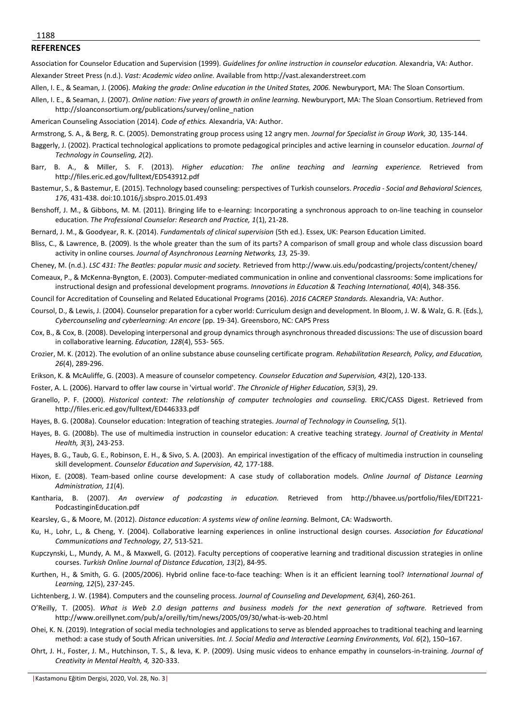### 1188

#### **REFERENCES**

Association for Counselor Education and Supervision (1999). *Guidelines for online instruction in counselor education.* Alexandria, VA: Author. Alexander Street Press (n.d.). *Vast: Academic video online.* Available from http://vast.alexanderstreet.com

- Allen, I. E., & Seaman, J. (2006). *Making the grade: Online education in the United States, 2006.* Newburyport, MA: The Sloan Consortium.
- Allen, I. E., & Seaman, J. (2007). *Online nation: Five years of growth in online learning.* Newburyport, MA: The Sloan Consortium. Retrieved from http://sloanconsortium.org/publications/survey/online\_nation
- American Counseling Association (2014). *Code of ethics.* Alexandria, VA: Author.
- Armstrong, S. A., & Berg, R. C. (2005). Demonstrating group process using 12 angry men. *Journal for Specialist in Group Work, 30,* 135-144.
- Baggerly, J. (2002). Practical technological applications to promote pedagogical principles and active learning in counselor education. *Journal of Technology in Counseling, 2*(2).
- Barr, B. A., & Miller, S. F. (2013). *Higher education: The online teaching and learning experience.* Retrieved from http://files.eric.ed.gov/fulltext/ED543912.pdf
- Bastemur, S., & Bastemur, E. (2015). Technology based counseling: perspectives of Turkish counselors. *Procedia - Social and Behavioral Sciences, 176*, 431-438. doi:10.1016/j.sbspro.2015.01.493
- Benshoff, J. M., & Gibbons, M. M. (2011). Bringing life to e-learning: Incorporating a synchronous approach to on-line teaching in counselor education. *The Professional Counselor: Research and Practice, 1*(1), 21-28.
- Bernard, J. M., & Goodyear, R. K. (2014). *Fundamentals of clinical supervision* (5th ed.). Essex, UK: Pearson Education Limited.
- Bliss, C., & Lawrence, B. (2009). Is the whole greater than the sum of its parts? A comparison of small group and whole class discussion board activity in online courses*. Journal of Asynchronous Learning Networks, 13,* 25-39.
- Cheney, M. (n.d.). *LSC 431: The Beatles: popular music and society.* Retrieved from http://www.uis.edu/podcasting/projects/content/cheney/
- Comeaux, P., & McKenna-Byngton, E. (2003). Computer-mediated communication in online and conventional classrooms: Some implications for instructional design and professional development programs. *Innovations in Education & Teaching International, 40*(4), 348-356.
- Council for Accreditation of Counseling and Related Educational Programs (2016). *2016 CACREP Standards.* Alexandria, VA: Author.
- Coursol, D., & Lewis, J. (2004). Counselor preparation for a cyber world: Curriculum design and development. In Bloom, J. W. & Walz, G. R. (Eds.), *Cybercounseling and cyberlearning: An encore* (pp. 19-34). Greensboro, NC: CAPS Press
- Cox, B., & Cox, B. (2008). Developing interpersonal and group dynamics through asynchronous threaded discussions: The use of discussion board in collaborative learning. *Education, 128*(4), 553- 565.
- Crozier, M. K. (2012). The evolution of an online substance abuse counseling certificate program. *Rehabilitation Research, Policy, and Education, 26*(4), 289-296.
- Erikson, K. & McAuliffe, G. (2003). A measure of counselor competency. *Counselor Education and Supervision, 43*(2), 120-133.
- Foster, A. L. (2006). Harvard to offer law course in 'virtual world'. *The Chronicle of Higher Education, 53*(3), 29.
- Granello, P. F. (2000). *Historical context: The relationship of computer technologies and counseling.* ERIC/CASS Digest. Retrieved from http://files.eric.ed.gov/fulltext/ED446333.pdf
- Hayes, B. G. (2008a). Counselor education: Integration of teaching strategies. *Journal of Technology in Counseling, 5*(1).
- Hayes, B. G. (2008b). The use of multimedia instruction in counselor education: A creative teaching strategy. *Journal of Creativity in Mental Health, 3*(3), 243-253.
- Hayes, B. G., Taub, G. E., Robinson, E. H., & Sivo, S. A. (2003). An empirical investigation of the efficacy of multimedia instruction in counseling skill development. *Counselor Education and Supervision, 42,* 177-188.
- Hixon, E. (2008). Team-based online course development: A case study of collaboration models. *Online Journal of Distance Learning Administration, 11*(4).
- Kantharia, B. (2007). *An overview of podcasting in education.* Retrieved from http://bhavee.us/portfolio/files/EDIT221- PodcastinginEducation.pdf
- Kearsley, G., & Moore, M. (2012). *Distance education: A systems view of online learning.* Belmont, CA: Wadsworth.
- Ku, H., Lohr, L., & Cheng, Y. (2004). Collaborative learning experiences in online instructional design courses. *Association for Educational Communications and Technology, 27,* 513-521.
- Kupczynski, L., Mundy, A. M., & Maxwell, G. (2012). Faculty perceptions of cooperative learning and traditional discussion strategies in online courses. *Turkish Online Journal of Distance Education, 13*(2), 84-95.
- Kurthen, H., & Smith, G. G. (2005/2006). Hybrid online face-to-face teaching: When is it an efficient learning tool? *International Journal of Learning, 12*(5), 237-245.
- Lichtenberg, J. W. (1984). Computers and the counseling process. *Journal of Counseling and Development, 63*(4), 260-261.
- O'Reilly, T. (2005). *What is Web 2.0 design patterns and business models for the next generation of software.* Retrieved from http://www.oreillynet.com/pub/a/oreilly/tim/news/2005/09/30/what-is-web-20.html
- Ohei, K. N. (2019). Integration of social media technologies and applications to serve as blended approaches to traditional teaching and learning method: a case study of South African universities. *Int. J. Social Media and Interactive Learning Environments, Vol. 6*(2), 150–167.
- Ohrt, J. H., Foster, J. M., Hutchinson, T. S., & Ieva, K. P. (2009). Using music videos to enhance empathy in counselors-in-training. *Journal of Creativity in Mental Health, 4,* 320-333.